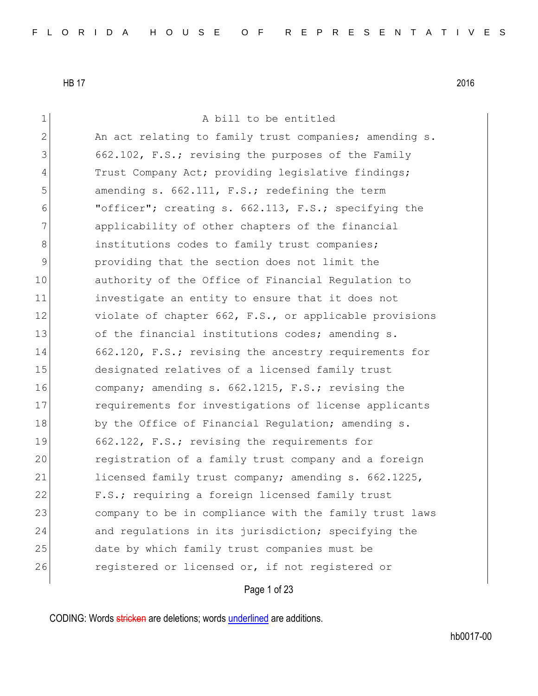| $\mathbf 1$  | A bill to be entitled                                  |
|--------------|--------------------------------------------------------|
| $\mathbf{2}$ | An act relating to family trust companies; amending s. |
| 3            | 662.102, F.S.; revising the purposes of the Family     |
| 4            | Trust Company Act; providing legislative findings;     |
| 5            | amending s. 662.111, F.S.; redefining the term         |
| 6            | "officer"; creating s. 662.113, F.S.; specifying the   |
| 7            | applicability of other chapters of the financial       |
| $\,8\,$      | institutions codes to family trust companies;          |
| 9            | providing that the section does not limit the          |
| 10           | authority of the Office of Financial Regulation to     |
| 11           | investigate an entity to ensure that it does not       |
| 12           | violate of chapter 662, F.S., or applicable provisions |
| 13           | of the financial institutions codes; amending s.       |
| 14           | 662.120, F.S.; revising the ancestry requirements for  |
| 15           | designated relatives of a licensed family trust        |
| 16           | company; amending s. 662.1215, F.S.; revising the      |
| 17           | requirements for investigations of license applicants  |
| 18           | by the Office of Financial Regulation; amending s.     |
| 19           | 662.122, F.S.; revising the requirements for           |
| 20           | registration of a family trust company and a foreign   |
| 21           | licensed family trust company; amending s. 662.1225,   |
| 22           | F.S.; requiring a foreign licensed family trust        |
| 23           | company to be in compliance with the family trust laws |
| 24           | and regulations in its jurisdiction; specifying the    |
| 25           | date by which family trust companies must be           |
| 26           | registered or licensed or, if not registered or        |
|              |                                                        |

Page 1 of 23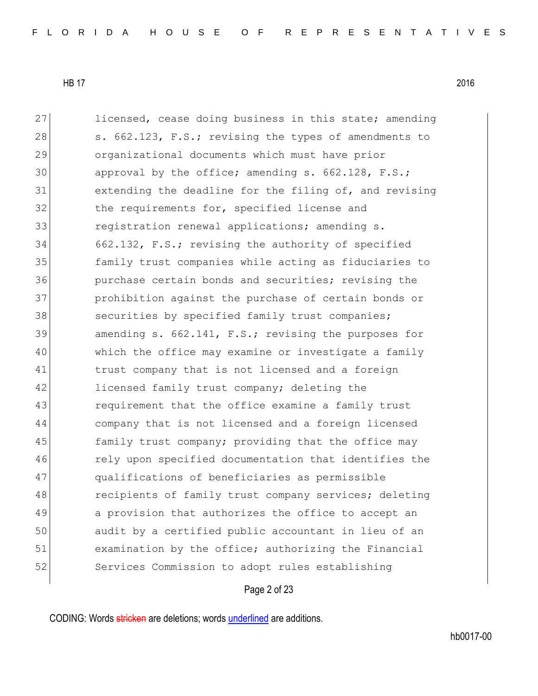27 licensed, cease doing business in this state; amending 28 s. 662.123, F.S.; revising the types of amendments to organizational documents which must have prior approval by the office; amending s. 662.128, F.S.; extending the deadline for the filing of, and revising the requirements for, specified license and 33 registration renewal applications; amending s. 662.132, F.S.; revising the authority of specified family trust companies while acting as fiduciaries to purchase certain bonds and securities; revising the prohibition against the purchase of certain bonds or 38 securities by specified family trust companies; 39 amending s. 662.141, F.S.; revising the purposes for which the office may examine or investigate a family trust company that is not licensed and a foreign 42 licensed family trust company; deleting the requirement that the office examine a family trust company that is not licensed and a foreign licensed 45 family trust company; providing that the office may 46 rely upon specified documentation that identifies the qualifications of beneficiaries as permissible 48 recipients of family trust company services; deleting 49 a provision that authorizes the office to accept an audit by a certified public accountant in lieu of an examination by the office; authorizing the Financial Services Commission to adopt rules establishing

### Page 2 of 23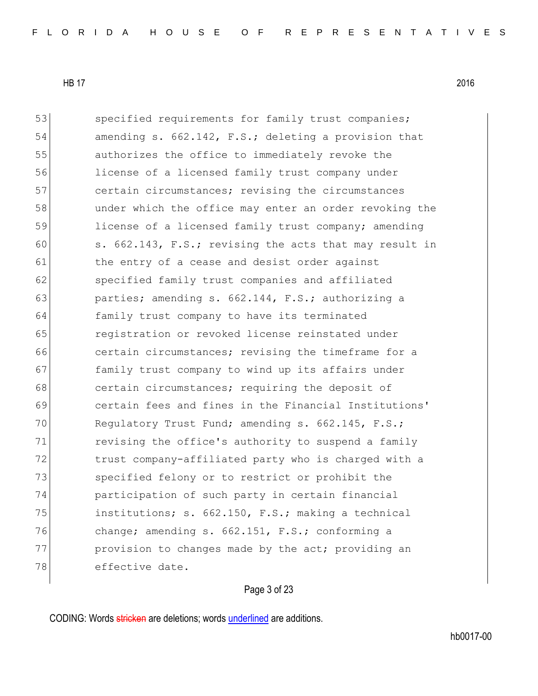53 specified requirements for family trust companies; 54 amending s. 662.142, F.S.; deleting a provision that 55 authorizes the office to immediately revoke the 56 license of a licensed family trust company under 57 certain circumstances; revising the circumstances 58 under which the office may enter an order revoking the 59 license of a licensed family trust company; amending 60  $\vert$  s. 662.143, F.S.; revising the acts that may result in 61 block the entry of a cease and desist order against 62 specified family trust companies and affiliated 63 parties; amending s. 662.144, F.S.; authorizing a 64 family trust company to have its terminated 65 registration or revoked license reinstated under 66 **charge contain circumstances;** revising the timeframe for a 67 **family trust company to wind up its affairs under** 68 certain circumstances; requiring the deposit of 69 certain fees and fines in the Financial Institutions' 70 Requlatory Trust Fund; amending s. 662.145, F.S.; 71 revising the office's authority to suspend a family 72 trust company-affiliated party who is charged with a 73 Specified felony or to restrict or prohibit the 74 participation of such party in certain financial 75 institutions; s. 662.150, F.S.; making a technical 76 change; amending s. 662.151, F.S.; conforming a 77 provision to changes made by the act; providing an 78 effective date.

# Page 3 of 23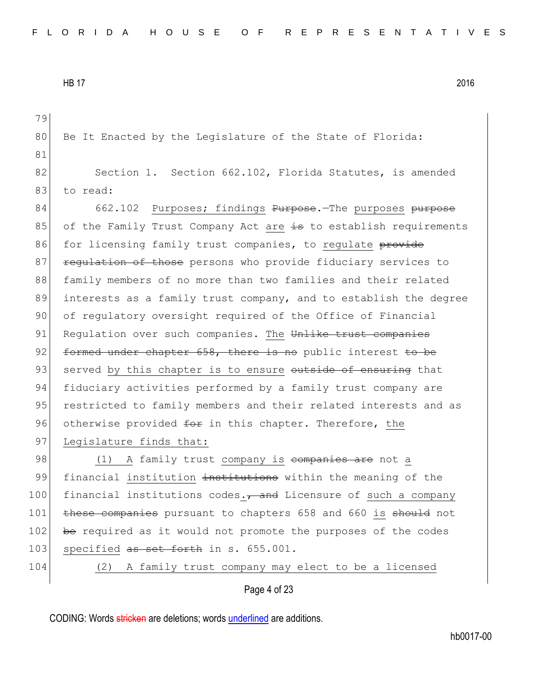Page 4 of 23 79 80 Be It Enacted by the Legislature of the State of Florida: 81 82 Section 1. Section 662.102, Florida Statutes, is amended 83 to read: 84 662.102 Purposes; findings Purpose.—The purposes purpose 85 of the Family Trust Company Act are  $\frac{1}{15}$  to establish requirements 86 for licensing family trust companies, to regulate provide 87 **regulation of those** persons who provide fiduciary services to 88 family members of no more than two families and their related 89 interests as a family trust company, and to establish the degree 90 of regulatory oversight required of the Office of Financial 91 Regulation over such companies. The Unlike trust companies 92  $\pm$  or the under chapter 658, there is no public interest to be 93 served by this chapter is to ensure outside of ensuring that 94 fiduciary activities performed by a family trust company are 95 restricted to family members and their related interests and as 96 otherwise provided for in this chapter. Therefore, the 97 Legislature finds that: 98 (1) A family trust company is <del>companies are</del> not a 99 financial institution institutions within the meaning of the 100 financial institutions codes., and Licensure of such a company 101 these companies pursuant to chapters 658 and 660 is should not 102 be required as it would not promote the purposes of the codes 103 specified <del>as set forth</del> in s. 655.001. 104 (2) A family trust company may elect to be a licensed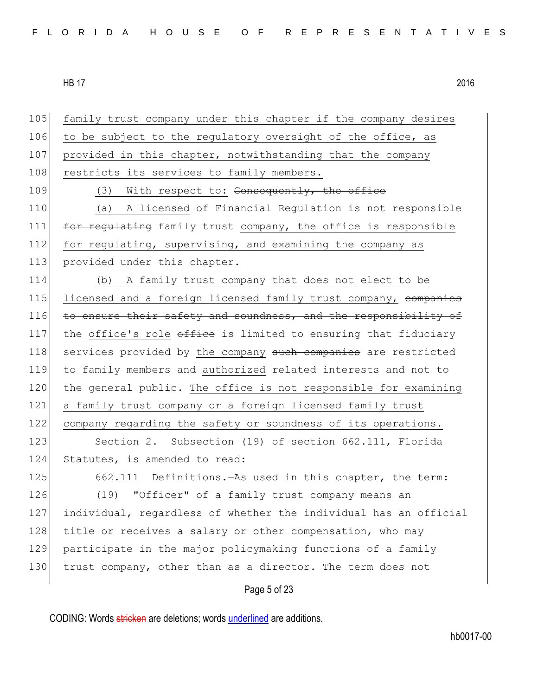Page 5 of 23 105 family trust company under this chapter if the company desires 106 to be subject to the requiatory oversight of the office, as 107 provided in this chapter, notwithstanding that the company 108 restricts its services to family members. 109 (3) With respect to: Consequently, the office 110 (a) A licensed of Financial Regulation is not responsible 111 for regulating family trust company, the office is responsible 112 for regulating, supervising, and examining the company as 113 provided under this chapter. 114 (b) A family trust company that does not elect to be 115 licensed and a foreign licensed family trust company, companies 116 to ensure their safety and soundness, and the responsibility of 117 the office's role  $\sigma$  office is limited to ensuring that fiduciary 118 services provided by the company such companies are restricted 119 to family members and authorized related interests and not to 120 the general public. The office is not responsible for examining 121 a family trust company or a foreign licensed family trust 122 company regarding the safety or soundness of its operations. 123 Section 2. Subsection (19) of section 662.111, Florida 124 Statutes, is amended to read: 125 662.111 Definitions.—As used in this chapter, the term: 126 (19) "Officer" of a family trust company means an 127 individual, regardless of whether the individual has an official 128 title or receives a salary or other compensation, who may 129 participate in the major policymaking functions of a family 130 trust company, other than as a director. The term does not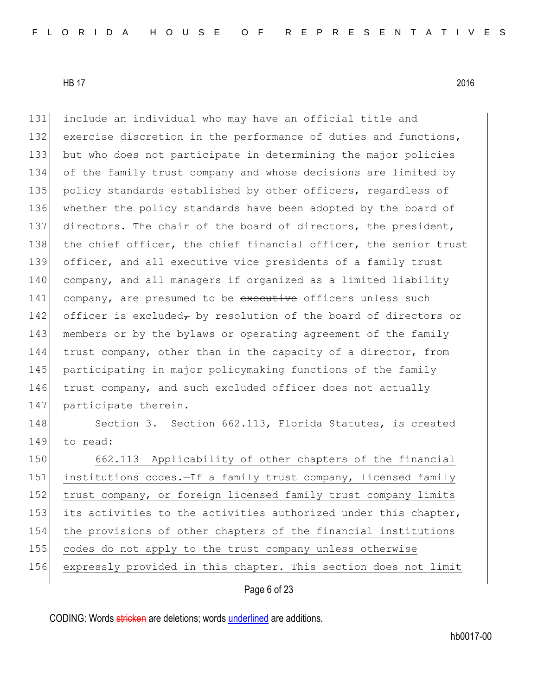131 include an individual who may have an official title and 132 exercise discretion in the performance of duties and functions, 133 but who does not participate in determining the major policies 134 of the family trust company and whose decisions are limited by 135 policy standards established by other officers, regardless of 136 whether the policy standards have been adopted by the board of 137 directors. The chair of the board of directors, the president, 138 the chief officer, the chief financial officer, the senior trust 139 officer, and all executive vice presidents of a family trust 140 company, and all managers if organized as a limited liability 141 company, are presumed to be executive officers unless such 142 officer is excluded, by resolution of the board of directors or 143 members or by the bylaws or operating agreement of the family 144 trust company, other than in the capacity of a director, from 145 participating in major policymaking functions of the family 146 trust company, and such excluded officer does not actually 147 participate therein. 148 Section 3. Section 662.113, Florida Statutes, is created 149 to read: 150 662.113 Applicability of other chapters of the financial 151 institutions codes.—If a family trust company, licensed family 152 trust company, or foreign licensed family trust company limits 153 its activities to the activities authorized under this chapter, 154 the provisions of other chapters of the financial institutions 155 codes do not apply to the trust company unless otherwise 156 expressly provided in this chapter. This section does not limit

Page 6 of 23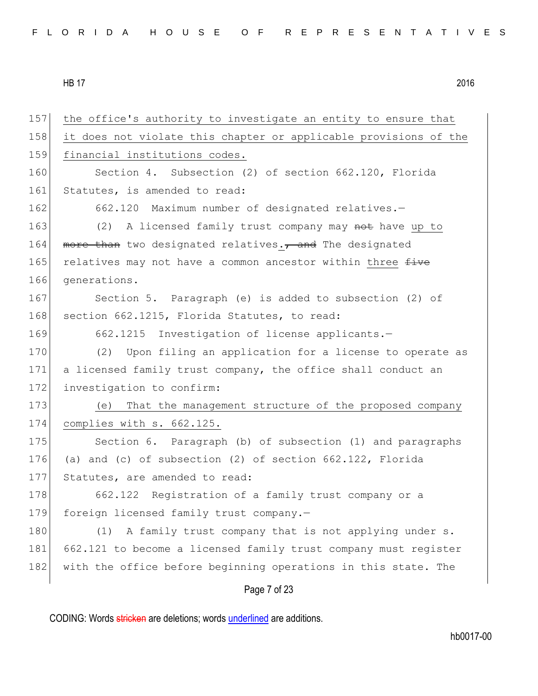| 157 | the office's authority to investigate an entity to ensure that   |
|-----|------------------------------------------------------------------|
| 158 | it does not violate this chapter or applicable provisions of the |
| 159 | financial institutions codes.                                    |
| 160 | Section 4. Subsection (2) of section 662.120, Florida            |
| 161 | Statutes, is amended to read:                                    |
| 162 | 662.120 Maximum number of designated relatives.-                 |
| 163 | (2) A licensed family trust company may not have up to           |
| 164 | more than two designated relatives., and The designated          |
| 165 | relatives may not have a common ancestor within three five       |
| 166 | generations.                                                     |
| 167 | Section 5. Paragraph (e) is added to subsection (2) of           |
| 168 | section 662.1215, Florida Statutes, to read:                     |
| 169 | 662.1215 Investigation of license applicants.-                   |
| 170 | Upon filing an application for a license to operate as<br>(2)    |
| 171 | a licensed family trust company, the office shall conduct an     |
| 172 | investigation to confirm:                                        |
| 173 | That the management structure of the proposed company<br>(e)     |
| 174 | complies with s. 662.125.                                        |
| 175 | Section 6. Paragraph (b) of subsection (1) and paragraphs        |
| 176 | (a) and (c) of subsection (2) of section 662.122, Florida        |
| 177 | Statutes, are amended to read:                                   |
| 178 | 662.122 Registration of a family trust company or a              |
| 179 | foreign licensed family trust company.-                          |
| 180 | A family trust company that is not applying under s.<br>(1)      |
| 181 | 662.121 to become a licensed family trust company must register  |
| 182 | with the office before beginning operations in this state. The   |
|     | Page 7 of 23                                                     |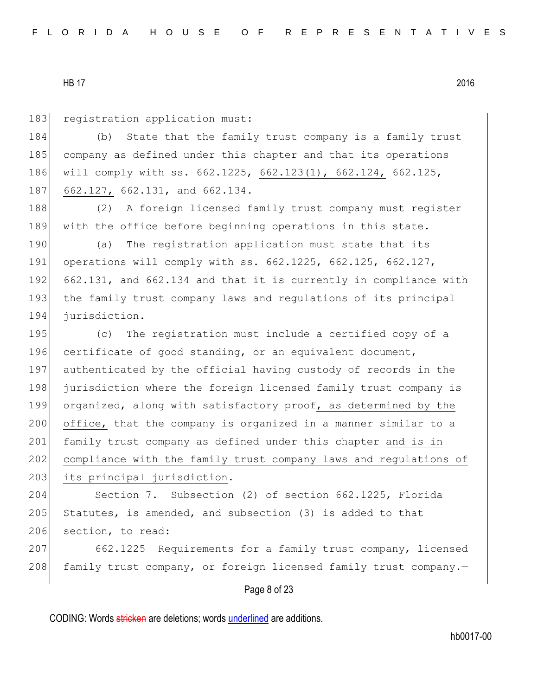183 registration application must:

184 (b) State that the family trust company is a family trust 185 company as defined under this chapter and that its operations 186 will comply with ss. 662.1225, 662.123(1), 662.124, 662.125, 187 662.127, 662.131, and 662.134.

188 (2) A foreign licensed family trust company must register 189 with the office before beginning operations in this state.

190 (a) The registration application must state that its 191 operations will comply with ss. 662.1225, 662.125, 662.127, 192 662.131, and 662.134 and that it is currently in compliance with 193 the family trust company laws and regulations of its principal 194 jurisdiction.

195 (c) The registration must include a certified copy of a 196 certificate of good standing, or an equivalent document, 197 authenticated by the official having custody of records in the 198 jurisdiction where the foreign licensed family trust company is 199 organized, along with satisfactory proof, as determined by the 200 office, that the company is organized in a manner similar to a 201 family trust company as defined under this chapter and is in 202 compliance with the family trust company laws and regulations of 203 its principal jurisdiction.

204 Section 7. Subsection (2) of section 662.1225, Florida 205 Statutes, is amended, and subsection  $(3)$  is added to that 206 section, to read:

207 662.1225 Requirements for a family trust company, licensed 208 family trust company, or foreign licensed family trust company.-

Page 8 of 23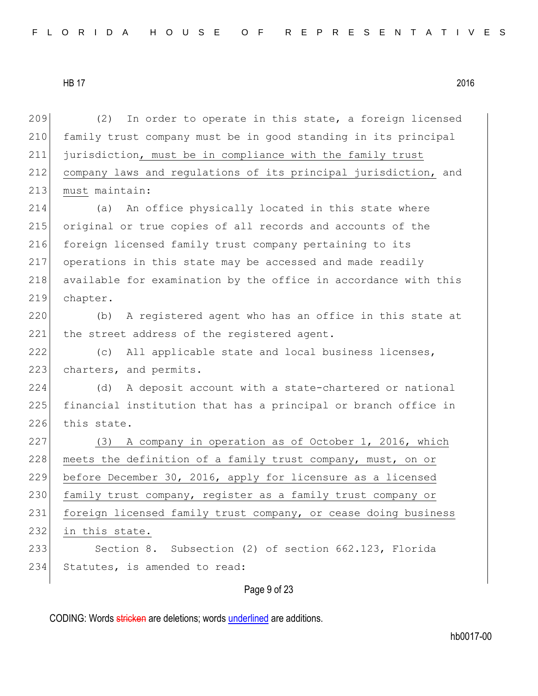209  $(2)$  In order to operate in this state, a foreign licensed 210 family trust company must be in good standing in its principal 211 jurisdiction, must be in compliance with the family trust 212 company laws and regulations of its principal jurisdiction, and 213 must maintain: 214 (a) An office physically located in this state where 215 original or true copies of all records and accounts of the 216 foreign licensed family trust company pertaining to its 217 operations in this state may be accessed and made readily 218 available for examination by the office in accordance with this 219 chapter. 220 (b) A registered agent who has an office in this state at 221 the street address of the registered agent. 222 (c) All applicable state and local business licenses, 223 charters, and permits. 224 (d) A deposit account with a state-chartered or national 225 financial institution that has a principal or branch office in 226 this state. 227 (3) A company in operation as of October 1, 2016, which 228 meets the definition of a family trust company, must, on or 229 before December 30, 2016, apply for licensure as a licensed 230 family trust company, register as a family trust company or 231 foreign licensed family trust company, or cease doing business 232 in this state. 233 Section 8. Subsection (2) of section 662.123, Florida 234 Statutes, is amended to read:

Page 9 of 23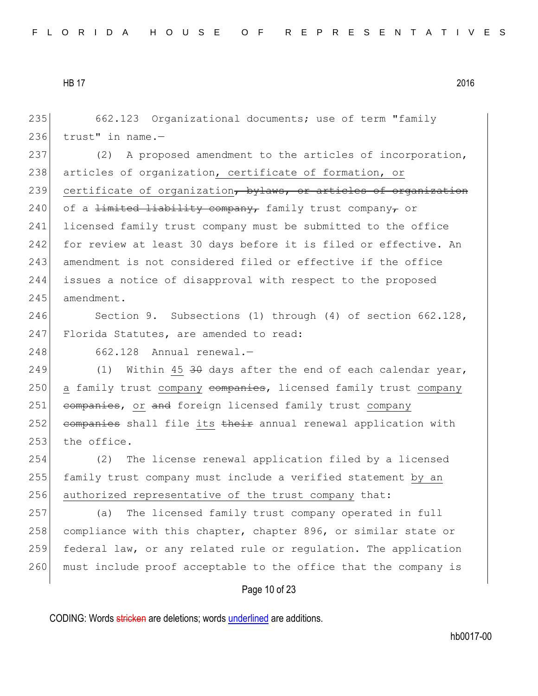235 662.123 Organizational documents; use of term "family 236 trust" in name.— 237 (2) A proposed amendment to the articles of incorporation, 238 articles of organization, certificate of formation, or 239 certificate of organization, bylaws, or articles of organization 240 of a <del>limited liability company,</del> family trust company, or 241 licensed family trust company must be submitted to the office 242 for review at least 30 days before it is filed or effective. An 243 amendment is not considered filed or effective if the office 244 issues a notice of disapproval with respect to the proposed 245 amendment. 246 Section 9. Subsections (1) through (4) of section 662.128, 247 Florida Statutes, are amended to read: 248 662.128 Annual renewal.-249  $(1)$  Within 45 <del>30</del> days after the end of each calendar year, 250 a family trust company companies, licensed family trust company 251 companies, or and foreign licensed family trust company 252 companies shall file its their annual renewal application with  $253$  the office. 254 (2) The license renewal application filed by a licensed 255 family trust company must include a verified statement by an 256 authorized representative of the trust company that: 257 (a) The licensed family trust company operated in full 258 compliance with this chapter, chapter 896, or similar state or 259 federal law, or any related rule or regulation. The application 260 must include proof acceptable to the office that the company is

# Page 10 of 23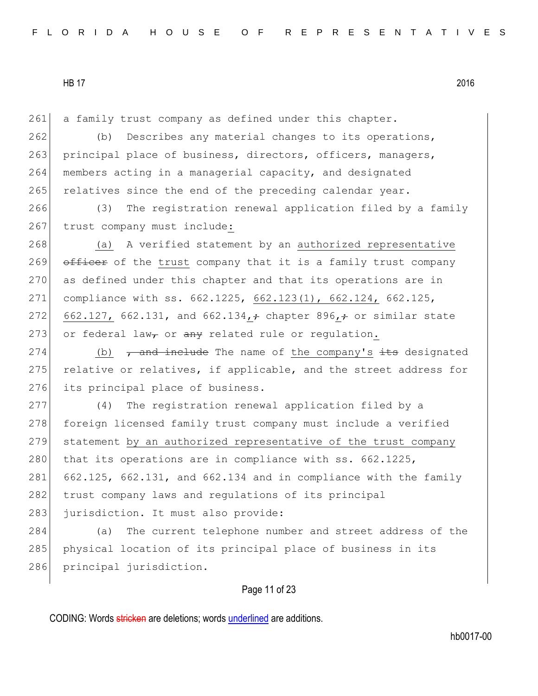261 a family trust company as defined under this chapter.

262 (b) Describes any material changes to its operations, 263 principal place of business, directors, officers, managers, 264 members acting in a managerial capacity, and designated 265 relatives since the end of the preceding calendar year.

266 (3) The registration renewal application filed by a family 267 trust company must include:

268 (a) A verified statement by an authorized representative 269 officer of the trust company that it is a family trust company 270 as defined under this chapter and that its operations are in 271 compliance with ss. 662.1225, 662.123(1), 662.124, 662.125, 272 662.127, 662.131, and 662.134,  $\div$  chapter 896,  $\div$  or similar state 273 or federal law<sub>r</sub> or  $\frac{a}{b}$  related rule or requistion.

274 (b)  $\tau$  and include The name of the company's its designated 275 relative or relatives, if applicable, and the street address for 276 its principal place of business.

277 (4) The registration renewal application filed by a 278 foreign licensed family trust company must include a verified 279 statement by an authorized representative of the trust company 280 that its operations are in compliance with ss. 662.1225, 281  $662.125$ ,  $662.131$ , and  $662.134$  and in compliance with the family 282 trust company laws and regulations of its principal 283 jurisdiction. It must also provide:

284 (a) The current telephone number and street address of the 285 physical location of its principal place of business in its 286 principal jurisdiction.

# Page 11 of 23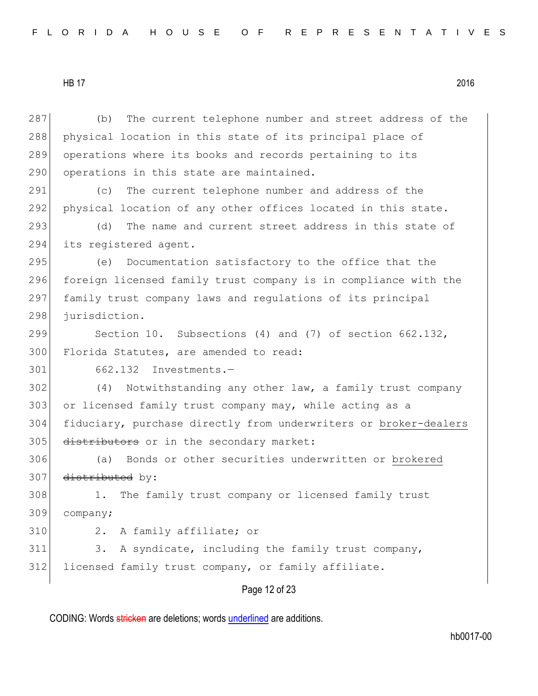Page 12 of 23 287 (b) The current telephone number and street address of the 288 physical location in this state of its principal place of 289 operations where its books and records pertaining to its 290 operations in this state are maintained. 291 (c) The current telephone number and address of the 292 physical location of any other offices located in this state. 293 (d) The name and current street address in this state of 294 its registered agent. 295 (e) Documentation satisfactory to the office that the 296 foreign licensed family trust company is in compliance with the 297 family trust company laws and regulations of its principal 298 jurisdiction. 299 Section 10. Subsections (4) and (7) of section 662.132, 300 Florida Statutes, are amended to read: 301 662.132 Investments.— 302 (4) Notwithstanding any other law, a family trust company 303 or licensed family trust company may, while acting as a 304 fiduciary, purchase directly from underwriters or broker-dealers 305 distributors or in the secondary market: 306 (a) Bonds or other securities underwritten or brokered 307 distributed by: 308 1. The family trust company or licensed family trust 309 company; 310 2. A family affiliate; or 311 3. A syndicate, including the family trust company, 312 licensed family trust company, or family affiliate.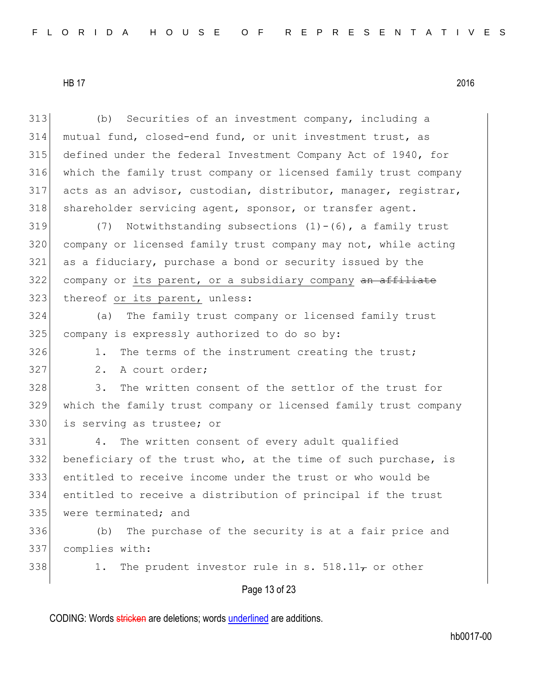| 313 | (b)<br>Securities of an investment company, including a         |
|-----|-----------------------------------------------------------------|
| 314 | mutual fund, closed-end fund, or unit investment trust, as      |
| 315 | defined under the federal Investment Company Act of 1940, for   |
| 316 | which the family trust company or licensed family trust company |
| 317 | acts as an advisor, custodian, distributor, manager, registrar, |
| 318 | shareholder servicing agent, sponsor, or transfer agent.        |
| 319 | Notwithstanding subsections $(1) - (6)$ , a family trust<br>(7) |
| 320 | company or licensed family trust company may not, while acting  |
| 321 | as a fiduciary, purchase a bond or security issued by the       |
| 322 | company or its parent, or a subsidiary company an affiliate     |
| 323 | thereof or its parent, unless:                                  |
| 324 | The family trust company or licensed family trust<br>(a)        |
| 325 | company is expressly authorized to do so by:                    |
| 326 | The terms of the instrument creating the trust;<br>1.           |
| 327 | 2.<br>A court order;                                            |
| 328 | The written consent of the settlor of the trust for<br>3.       |
| 329 | which the family trust company or licensed family trust company |
| 330 | is serving as trustee; or                                       |
| 331 | The written consent of every adult qualified<br>4.              |
| 332 | beneficiary of the trust who, at the time of such purchase, is  |
| 333 | entitled to receive income under the trust or who would be      |
| 334 | entitled to receive a distribution of principal if the trust    |
| 335 | were terminated; and                                            |
| 336 | The purchase of the security is at a fair price and<br>(b)      |
| 337 | complies with:                                                  |
| 338 | The prudent investor rule in s. 518.11 $\tau$ or other<br>1.    |
|     | Page 13 of 23                                                   |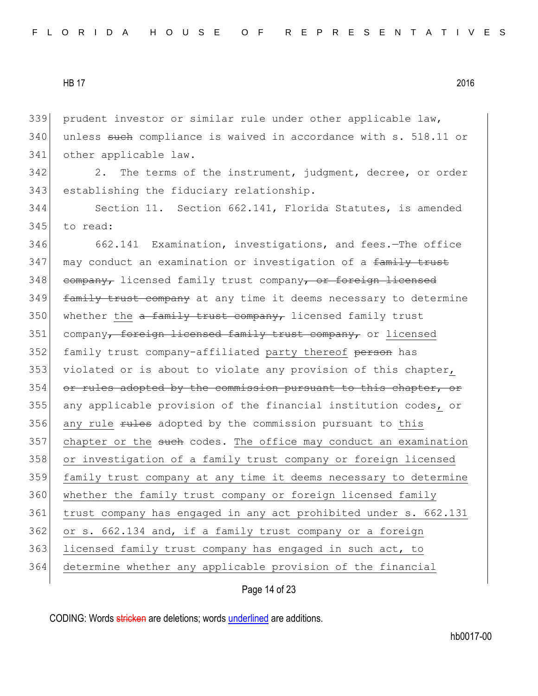339 prudent investor or similar rule under other applicable law, 340 unless such compliance is waived in accordance with s. 518.11 or 341 other applicable law.

342 2. The terms of the instrument, judgment, decree, or order 343 establishing the fiduciary relationship.

344 Section 11. Section 662.141, Florida Statutes, is amended 345 to read:

346 662.141 Examination, investigations, and fees.—The office 347 may conduct an examination or investigation of a family trust 348 company, licensed family trust company, or foreign licensed 349 **family trust company** at any time it deems necessary to determine 350 whether the  $a$  family trust company, licensed family trust 351 company, foreign licensed family trust company, or licensed 352 family trust company-affiliated party thereof person has 353 violated or is about to violate any provision of this chapter, 354 or rules adopted by the commission pursuant to this chapter, or 355 any applicable provision of the financial institution codes, or 356 any rule rules adopted by the commission pursuant to this  $357$  chapter or the such codes. The office may conduct an examination 358 or investigation of a family trust company or foreign licensed 359 family trust company at any time it deems necessary to determine 360 whether the family trust company or foreign licensed family 361 trust company has engaged in any act prohibited under s. 662.131 362 or s. 662.134 and, if a family trust company or a foreign 363 licensed family trust company has engaged in such act, to 364 determine whether any applicable provision of the financial

Page 14 of 23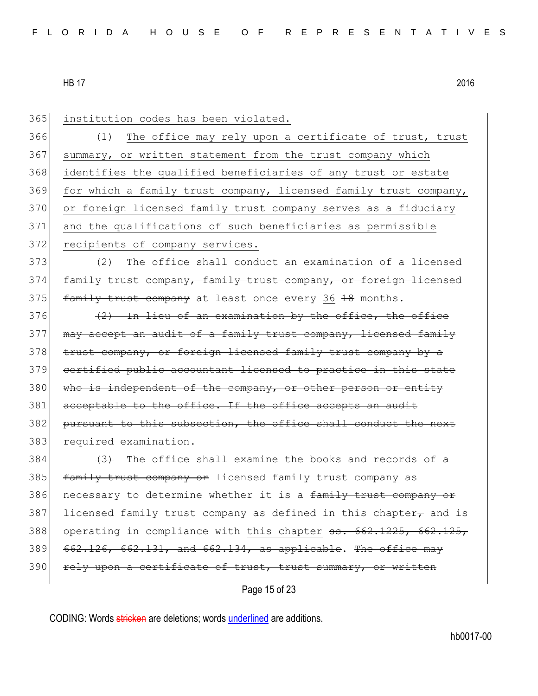| 365 | institution codes has been violated.                                  |
|-----|-----------------------------------------------------------------------|
| 366 | The office may rely upon a certificate of trust, trust<br>(1)         |
| 367 | summary, or written statement from the trust company which            |
| 368 | identifies the qualified beneficiaries of any trust or estate         |
| 369 | for which a family trust company, licensed family trust company,      |
| 370 | or foreign licensed family trust company serves as a fiduciary        |
| 371 | and the qualifications of such beneficiaries as permissible           |
| 372 | recipients of company services.                                       |
| 373 | The office shall conduct an examination of a licensed<br>(2)          |
| 374 | family trust company, family trust company, or foreign licensed       |
| 375 | family trust company at least once every 36 18 months.                |
| 376 | (2) In lieu of an examination by the office, the office               |
| 377 | may accept an audit of a family trust company, licensed family        |
| 378 | trust company, or forcign licensed family trust company by a          |
| 379 | certified public accountant licensed to practice in this state        |
| 380 | who is independent of the company, or other person or entity          |
| 381 | acceptable to the office. If the office accepts an audit              |
| 382 | pursuant to this subsection, the office shall conduct the next        |
| 383 | required examination.                                                 |
| 384 | (3) The office shall examine the books and records of a               |
| 385 | family trust company or licensed family trust company as              |
| 386 | necessary to determine whether it is a family trust company or        |
| 387 | licensed family trust company as defined in this chapter- and is      |
| 388 | operating in compliance with this chapter 55. 662.1225, 662.125,      |
| 389 | $662.126$ , $662.131$ , and $662.134$ , as applicable. The office may |
| 390 | rely upon a certificate of trust, trust summary, or written           |
|     | Page 15 of 23                                                         |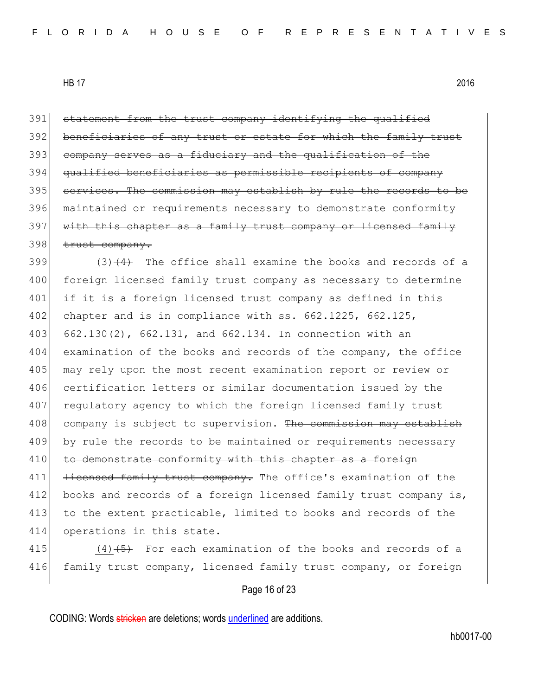391 statement from the trust company identifying the qualified 392 beneficiaries of any trust or estate for which the family trust 393 company serves as a fiduciary and the qualification of the 394 qualified beneficiaries as permissible recipients of company 395 services. The commission may establish by rule the records to be 396 maintained or requirements necessary to demonstrate conformity 397 with this chapter as a family trust company or licensed family 398 trust company.

399  $(3)$   $(4)$  The office shall examine the books and records of a 400 foreign licensed family trust company as necessary to determine 401 if it is a foreign licensed trust company as defined in this 402 chapter and is in compliance with ss. 662.1225, 662.125, 403 662.130(2), 662.131, and 662.134. In connection with an 404 examination of the books and records of the company, the office 405 may rely upon the most recent examination report or review or 406 certification letters or similar documentation issued by the 407 regulatory agency to which the foreign licensed family trust 408 company is subject to supervision. The commission may establish 409 by rule the records to be maintained or requirements necessary 410 to demonstrate conformity with this chapter as a foreign 411 <del>licensed family trust company.</del> The office's examination of the 412 books and records of a foreign licensed family trust company is, 413 to the extent practicable, limited to books and records of the 414 operations in this state.

415  $(4)$   $(5)$  For each examination of the books and records of a 416 family trust company, licensed family trust company, or foreign

# Page 16 of 23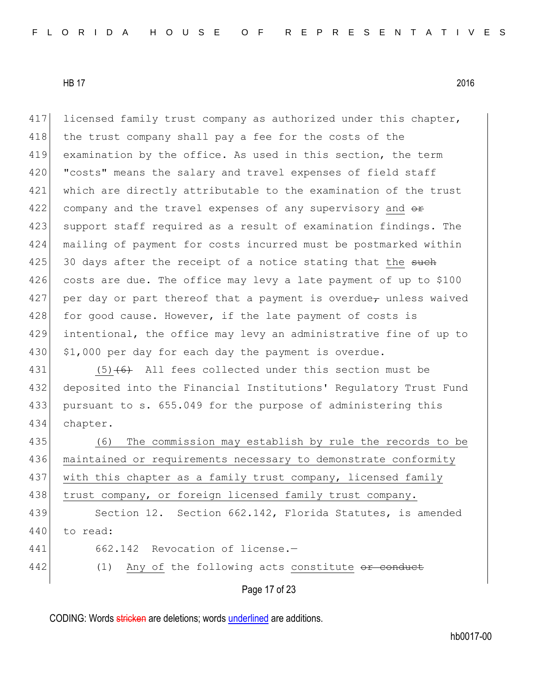417 licensed family trust company as authorized under this chapter, 418 the trust company shall pay a fee for the costs of the 419 examination by the office. As used in this section, the term 420 | "costs" means the salary and travel expenses of field staff 421 which are directly attributable to the examination of the trust 422 company and the travel expenses of any supervisory and  $\theta$ 423 support staff required as a result of examination findings. The 424 mailing of payment for costs incurred must be postmarked within  $425$  30 days after the receipt of a notice stating that the such 426 costs are due. The office may levy a late payment of up to \$100 427 per day or part thereof that a payment is overdue<sub> $\tau$ </sub> unless waived 428 for good cause. However, if the late payment of costs is 429 intentional, the office may levy an administrative fine of up to 430 | \$1,000 per day for each day the payment is overdue.

 $(5)$  (6) All fees collected under this section must be deposited into the Financial Institutions' Regulatory Trust Fund pursuant to s. 655.049 for the purpose of administering this 434 chapter.

435 (6) The commission may establish by rule the records to be 436 maintained or requirements necessary to demonstrate conformity 437 with this chapter as a family trust company, licensed family 438 trust company, or foreign licensed family trust company. 439 Section 12. Section 662.142, Florida Statutes, is amended

- 440 to read:
- 441 662.142 Revocation of license.
- 442 (1) Any of the following acts constitute or conduct

Page 17 of 23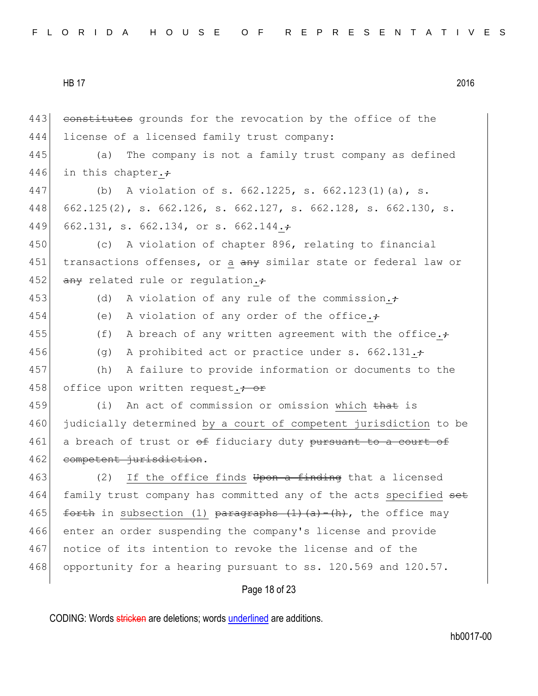Page 18 of 23 443 constitutes grounds for the revocation by the office of the 444 license of a licensed family trust company: 445 (a) The company is not a family trust company as defined 446 in this chapter. $\div$ 447 (b) A violation of s. 662.1225, s. 662.123(1)(a), s. 448 662.125(2), s. 662.126, s. 662.127, s. 662.128, s. 662.130, s. 449 662.131, s. 662.134, or s. 662.144. 450 (c) A violation of chapter 896, relating to financial 451 transactions offenses, or a any similar state or federal law or 452  $\overline{any}$  related rule or regulation. 453 (d) A violation of any rule of the commission. $\div$ 454 (e) A violation of any order of the office. $\div$ 455 (f) A breach of any written agreement with the office. $\div$ 456 (g) A prohibited act or practice under s.  $662.131.+$ 457 (h) A failure to provide information or documents to the 458 office upon written request.<sup>+</sup> or 459 (i) An act of commission or omission which that is 460 judicially determined by a court of competent jurisdiction to be 461 a breach of trust or  $\Theta$  fiduciary duty pursuant to a court of 462 competent jurisdiction. 463 (2) If the office finds Upon a finding that a licensed 464 family trust company has committed any of the acts specified set 465 forth in subsection (1) paragraphs  $(1)$   $(a)$   $(h)$ , the office may 466 enter an order suspending the company's license and provide 467 notice of its intention to revoke the license and of the 468 opportunity for a hearing pursuant to ss. 120.569 and 120.57.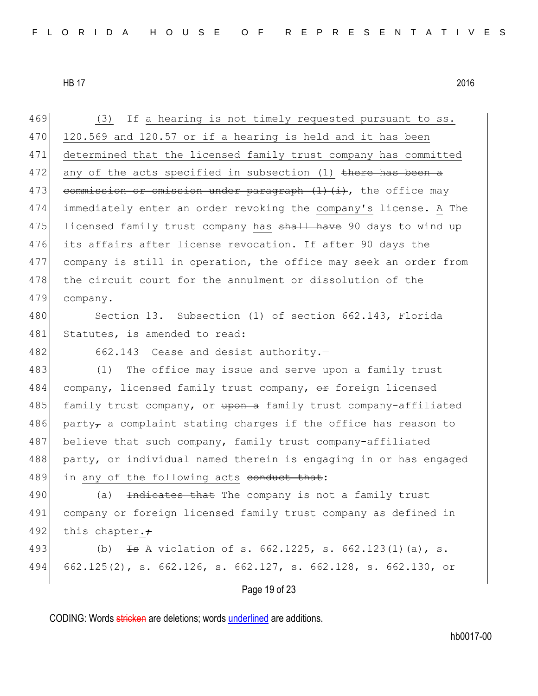Page 19 of 23 469 (3) If a hearing is not timely requested pursuant to ss.  $470$  120.569 and 120.57 or if a hearing is held and it has been 471 determined that the licensed family trust company has committed 472 any of the acts specified in subsection  $(1)$  there has been a 473 commission or omission under paragraph  $(1)$   $(i)$ , the office may 474  $\pm$  mmediately enter an order revoking the company's license. A The 475 licensed family trust company has shall have 90 days to wind up 476 its affairs after license revocation. If after 90 days the 477 company is still in operation, the office may seek an order from 478 the circuit court for the annulment or dissolution of the 479 company. 480 Section 13. Subsection (1) of section 662.143, Florida 481 Statutes, is amended to read: 482 662.143 Cease and desist authority.-483 (1) The office may issue and serve upon a family trust 484 company, licensed family trust company, or foreign licensed 485 family trust company, or upon a family trust company-affiliated 486 party<sub>r</sub> a complaint stating charges if the office has reason to 487 believe that such company, family trust company-affiliated 488 party, or individual named therein is engaging in or has engaged 489 in any of the following acts conduct that: 490 (a) <del>Indicates that</del> The company is not a family trust 491 company or foreign licensed family trust company as defined in 492 this chapter. $\div$ 493 (b)  $\pm$ s A violation of s. 662.1225, s. 662.123(1)(a), s. 494 662.125(2), s. 662.126, s. 662.127, s. 662.128, s. 662.130, or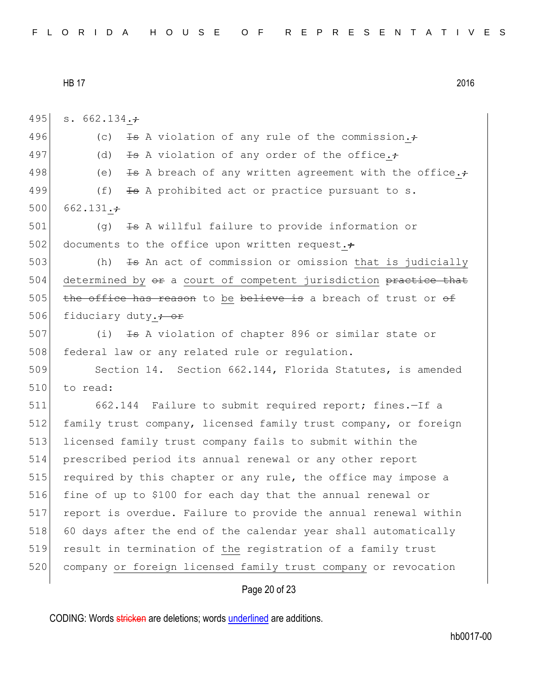495 s. 662.134. $\div$ 496 (c)  $\overline{13}$  A violation of any rule of the commission. $\div$ 497 (d)  $\overline{13}$  A violation of any order of the office. $\div$ 498 (e)  $\pm$ s A breach of any written agreement with the office. $\div$ 499  $(f)$   $\frac{1}{13}$  A prohibited act or practice pursuant to s. 500 662.131. $\div$ 501 (g) <del>Is</del> A willful failure to provide information or 502 documents to the office upon written request. $\div$ 503 (h) Is An act of commission or omission that is judicially 504 determined by  $e^{i\phi}$  a court of competent jurisdiction practice that 505 the office has reason to be believe is a breach of trust or  $\theta$ 506 fiduciary duty. $\div$  or 507 (i) <del>Is</del> A violation of chapter 896 or similar state or 508 federal law or any related rule or regulation. 509 Section 14. Section 662.144, Florida Statutes, is amended 510 to read: 511 662.144 Failure to submit required report; fines.—If a 512 family trust company, licensed family trust company, or foreign 513 licensed family trust company fails to submit within the 514 prescribed period its annual renewal or any other report 515 required by this chapter or any rule, the office may impose a 516 fine of up to \$100 for each day that the annual renewal or 517 report is overdue. Failure to provide the annual renewal within 518 60 days after the end of the calendar year shall automatically 519 result in termination of the registration of a family trust 520 company or foreign licensed family trust company or revocation

### Page 20 of 23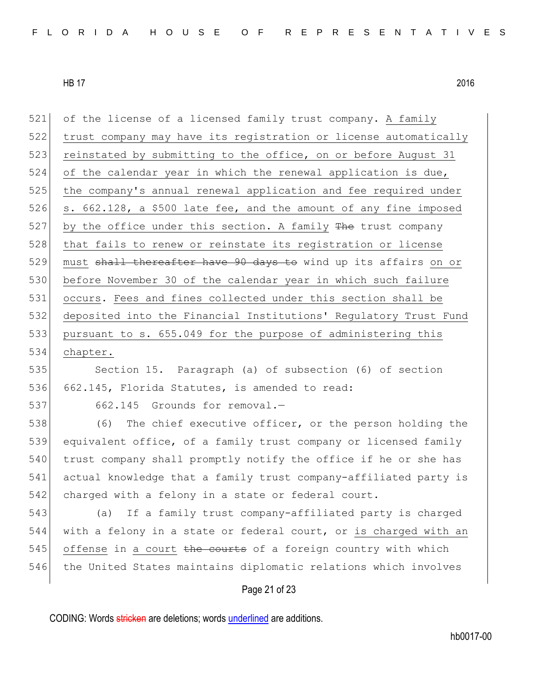521 of the license of a licensed family trust company. A family 522 trust company may have its registration or license automatically 523 reinstated by submitting to the office, on or before August 31 524 of the calendar year in which the renewal application is due, 525 the company's annual renewal application and fee required under 526 s. 662.128, a \$500 late fee, and the amount of any fine imposed 527 by the office under this section. A family  $The$  trust company 528 that fails to renew or reinstate its reqistration or license 529 must shall thereafter have 90 days to wind up its affairs on or 530 before November 30 of the calendar year in which such failure 531 occurs. Fees and fines collected under this section shall be 532 deposited into the Financial Institutions' Regulatory Trust Fund 533 pursuant to s. 655.049 for the purpose of administering this 534 chapter. 535 Section 15. Paragraph (a) of subsection (6) of section 536 662.145, Florida Statutes, is amended to read: 537 662.145 Grounds for removal.-538 (6) The chief executive officer, or the person holding the 539 equivalent office, of a family trust company or licensed family 540 trust company shall promptly notify the office if he or she has 541 actual knowledge that a family trust company-affiliated party is 542 charged with a felony in a state or federal court. 543 (a) If a family trust company-affiliated party is charged 544 with a felony in a state or federal court, or is charged with an 545 offense in a court the courts of a foreign country with which 546 the United States maintains diplomatic relations which involves

# Page 21 of 23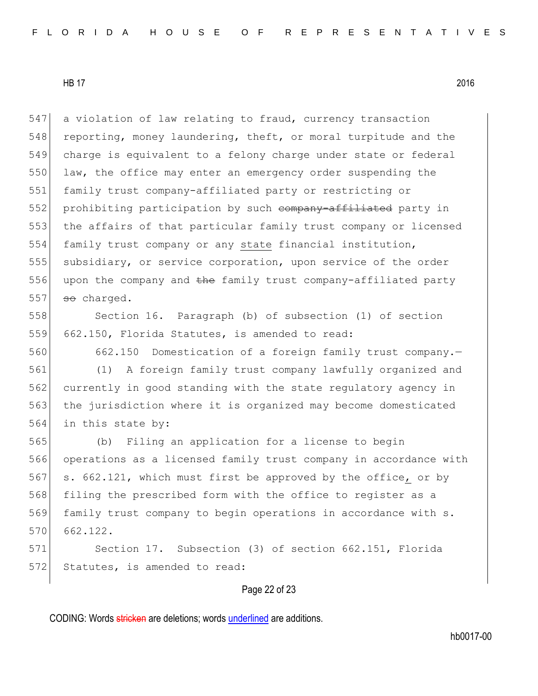547 a violation of law relating to fraud, currency transaction 548 reporting, money laundering, theft, or moral turpitude and the 549 charge is equivalent to a felony charge under state or federal 550 law, the office may enter an emergency order suspending the 551 family trust company-affiliated party or restricting or 552 prohibiting participation by such company-affiliated party in 553 the affairs of that particular family trust company or licensed 554 family trust company or any state financial institution, 555 subsidiary, or service corporation, upon service of the order 556 upon the company and the family trust company-affiliated party  $557$  so charged.

558 Section 16. Paragraph (b) of subsection (1) of section 559 662.150, Florida Statutes, is amended to read:

560 662.150 Domestication of a foreign family trust company.—

 (1) A foreign family trust company lawfully organized and currently in good standing with the state regulatory agency in the jurisdiction where it is organized may become domesticated in this state by:

565 (b) Filing an application for a license to begin 566 operations as a licensed family trust company in accordance with 567 s. 662.121, which must first be approved by the office, or by 568 filing the prescribed form with the office to register as a 569 family trust company to begin operations in accordance with s. 570 662.122.

571 Section 17. Subsection (3) of section 662.151, Florida 572 Statutes, is amended to read:

# Page 22 of 23